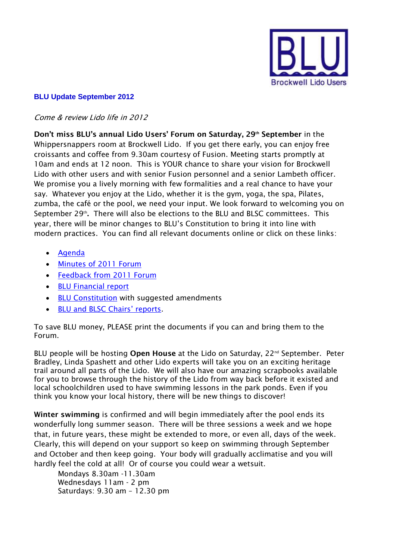

## **BLU Update September 2012**

## Come & review Lido life in 2012

**Don't miss BLU's annual Lido Users' Forum on Saturday, 29th September** in the Whippersnappers room at Brockwell Lido. If you get there early, you can enjoy free croissants and coffee from 9.30am courtesy of Fusion. Meeting starts promptly at 10am and ends at 12 noon. This is YOUR chance to share your vision for Brockwell Lido with other users and with senior Fusion personnel and a senior Lambeth officer. We promise you a lively morning with few formalities and a real chance to have your say. Whatever you enjoy at the Lido, whether it is the gym, yoga, the spa, Pilates, zumba, the café or the pool, we need your input. We look forward to welcoming you on September 29<sup>th</sup>. There will also be elections to the BLU and BLSC committees. This year, there will be minor changes to BLU's Constitution to bring it into line with modern practices. You can find all relevant documents online or click on these links:

- [Agenda](http://www.porism.net/blu/documents/BLUAGMAgenda2012.pdf)
- [Minutes of 2011 Forum](http://www.porism.net/blu/documents/BLUAGMMinutes20110924.pdf)
- [Feedback from 2011 Forum](http://www.porism.net/blu/documents/BLUAGMFeedback20110924.pdf)
- [BLU Financial report](http://www.porism.net/blu/documents/BLUFinancialReport20111231.pdf)
- **[BLU Constitution](http://www.porism.net/blu/documents/BLUConstitutionAmendments2012.pdf) with suggested amendments**
- [BLU and BLSC Chairs' reports](http://www.porism.net/blu/documents/BLUChairReport2012.pdf).

To save BLU money, PLEASE print the documents if you can and bring them to the Forum.

BLU people will be hosting **Open House** at the Lido on Saturday, 22<sup>nd</sup> September. Peter Bradley, Linda Spashett and other Lido experts will take you on an exciting heritage trail around all parts of the Lido. We will also have our amazing scrapbooks available for you to browse through the history of the Lido from way back before it existed and local schoolchildren used to have swimming lessons in the park ponds. Even if you think you know your local history, there will be new things to discover!

**Winter swimming** is confirmed and will begin immediately after the pool ends its wonderfully long summer season. There will be three sessions a week and we hope that, in future years, these might be extended to more, or even all, days of the week. Clearly, this will depend on your support so keep on swimming through September and October and then keep going. Your body will gradually acclimatise and you will hardly feel the cold at all! Or of course you could wear a wetsuit.

Mondays 8.30am -11.30am Wednesdays 11am - 2 pm Saturdays: 9.30 am – 12.30 pm